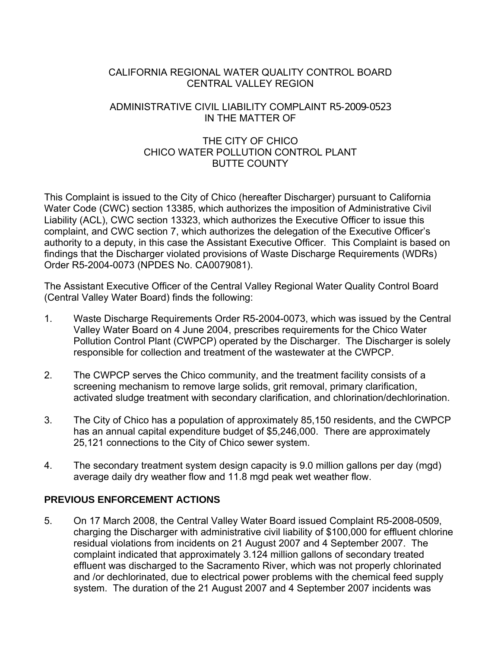### CALIFORNIA REGIONAL WATER QUALITY CONTROL BOARD CENTRAL VALLEY REGION

### ADMINISTRATIVE CIVIL LIABILITY COMPLAINT R5-2009-0523 IN THE MATTER OF

# THE CITY OF CHICO CHICO WATER POLLUTION CONTROL PLANT BUTTE COUNTY

This Complaint is issued to the City of Chico (hereafter Discharger) pursuant to California Water Code (CWC) section 13385, which authorizes the imposition of Administrative Civil Liability (ACL), CWC section 13323, which authorizes the Executive Officer to issue this complaint, and CWC section 7, which authorizes the delegation of the Executive Officer's authority to a deputy, in this case the Assistant Executive Officer. This Complaint is based on findings that the Discharger violated provisions of Waste Discharge Requirements (WDRs) Order R5-2004-0073 (NPDES No. CA0079081).

The Assistant Executive Officer of the Central Valley Regional Water Quality Control Board (Central Valley Water Board) finds the following:

- 1. Waste Discharge Requirements Order R5-2004-0073, which was issued by the Central Valley Water Board on 4 June 2004, prescribes requirements for the Chico Water Pollution Control Plant (CWPCP) operated by the Discharger. The Discharger is solely responsible for collection and treatment of the wastewater at the CWPCP.
- 2. The CWPCP serves the Chico community, and the treatment facility consists of a screening mechanism to remove large solids, grit removal, primary clarification, activated sludge treatment with secondary clarification, and chlorination/dechlorination.
- 3. The City of Chico has a population of approximately 85,150 residents, and the CWPCP has an annual capital expenditure budget of \$5,246,000. There are approximately 25,121 connections to the City of Chico sewer system.
- 4. The secondary treatment system design capacity is 9.0 million gallons per day (mgd) average daily dry weather flow and 11.8 mgd peak wet weather flow.

# **PREVIOUS ENFORCEMENT ACTIONS**

5. On 17 March 2008, the Central Valley Water Board issued Complaint R5-2008-0509, charging the Discharger with administrative civil liability of \$100,000 for effluent chlorine residual violations from incidents on 21 August 2007 and 4 September 2007. The complaint indicated that approximately 3.124 million gallons of secondary treated effluent was discharged to the Sacramento River, which was not properly chlorinated and /or dechlorinated, due to electrical power problems with the chemical feed supply system. The duration of the 21 August 2007 and 4 September 2007 incidents was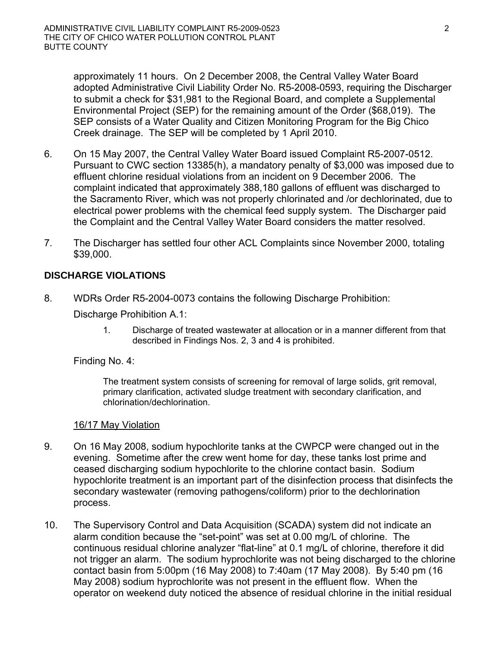approximately 11 hours. On 2 December 2008, the Central Valley Water Board adopted Administrative Civil Liability Order No. R5-2008-0593, requiring the Discharger to submit a check for \$31,981 to the Regional Board, and complete a Supplemental Environmental Project (SEP) for the remaining amount of the Order (\$68,019). The SEP consists of a Water Quality and Citizen Monitoring Program for the Big Chico Creek drainage. The SEP will be completed by 1 April 2010.

- 6. On 15 May 2007, the Central Valley Water Board issued Complaint R5-2007-0512. Pursuant to CWC section 13385(h), a mandatory penalty of \$3,000 was imposed due to effluent chlorine residual violations from an incident on 9 December 2006. The complaint indicated that approximately 388,180 gallons of effluent was discharged to the Sacramento River, which was not properly chlorinated and /or dechlorinated, due to electrical power problems with the chemical feed supply system. The Discharger paid the Complaint and the Central Valley Water Board considers the matter resolved.
- 7. The Discharger has settled four other ACL Complaints since November 2000, totaling \$39,000.

## **DISCHARGE VIOLATIONS**

8. WDRs Order R5-2004-0073 contains the following Discharge Prohibition:

Discharge Prohibition A.1:

1. Discharge of treated wastewater at allocation or in a manner different from that described in Findings Nos. 2, 3 and 4 is prohibited.

Finding No. 4:

The treatment system consists of screening for removal of large solids, grit removal, primary clarification, activated sludge treatment with secondary clarification, and chlorination/dechlorination.

### 16/17 May Violation

- 9. On 16 May 2008, sodium hypochlorite tanks at the CWPCP were changed out in the evening. Sometime after the crew went home for day, these tanks lost prime and ceased discharging sodium hypochlorite to the chlorine contact basin. Sodium hypochlorite treatment is an important part of the disinfection process that disinfects the secondary wastewater (removing pathogens/coliform) prior to the dechlorination process.
- 10. The Supervisory Control and Data Acquisition (SCADA) system did not indicate an alarm condition because the "set-point" was set at 0.00 mg/L of chlorine. The continuous residual chlorine analyzer "flat-line" at 0.1 mg/L of chlorine, therefore it did not trigger an alarm. The sodium hyprochlorite was not being discharged to the chlorine contact basin from 5:00pm (16 May 2008) to 7:40am (17 May 2008). By 5:40 pm (16 May 2008) sodium hyprochlorite was not present in the effluent flow. When the operator on weekend duty noticed the absence of residual chlorine in the initial residual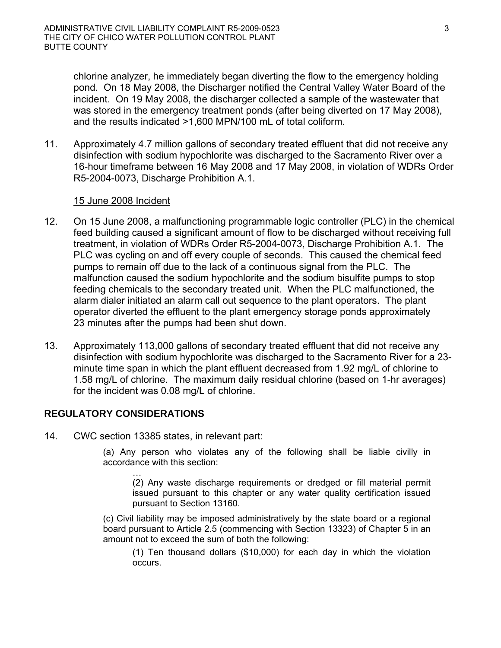chlorine analyzer, he immediately began diverting the flow to the emergency holding pond. On 18 May 2008, the Discharger notified the Central Valley Water Board of the incident. On 19 May 2008, the discharger collected a sample of the wastewater that was stored in the emergency treatment ponds (after being diverted on 17 May 2008), and the results indicated >1,600 MPN/100 mL of total coliform.

11. Approximately 4.7 million gallons of secondary treated effluent that did not receive any disinfection with sodium hypochlorite was discharged to the Sacramento River over a 16-hour timeframe between 16 May 2008 and 17 May 2008, in violation of WDRs Order R5-2004-0073, Discharge Prohibition A.1.

### 15 June 2008 Incident

- 12. On 15 June 2008, a malfunctioning programmable logic controller (PLC) in the chemical feed building caused a significant amount of flow to be discharged without receiving full treatment, in violation of WDRs Order R5-2004-0073, Discharge Prohibition A.1. The PLC was cycling on and off every couple of seconds. This caused the chemical feed pumps to remain off due to the lack of a continuous signal from the PLC. The malfunction caused the sodium hypochlorite and the sodium bisulfite pumps to stop feeding chemicals to the secondary treated unit. When the PLC malfunctioned, the alarm dialer initiated an alarm call out sequence to the plant operators. The plant operator diverted the effluent to the plant emergency storage ponds approximately 23 minutes after the pumps had been shut down.
- 13. Approximately 113,000 gallons of secondary treated effluent that did not receive any disinfection with sodium hypochlorite was discharged to the Sacramento River for a 23 minute time span in which the plant effluent decreased from 1.92 mg/L of chlorine to 1.58 mg/L of chlorine. The maximum daily residual chlorine (based on 1-hr averages) for the incident was 0.08 mg/L of chlorine.

### **REGULATORY CONSIDERATIONS**

14. CWC section 13385 states, in relevant part:

(a) Any person who violates any of the following shall be liable civilly in accordance with this section:

… (2) Any waste discharge requirements or dredged or fill material permit issued pursuant to this chapter or any water quality certification issued pursuant to Section 13160.

(c) Civil liability may be imposed administratively by the state board or a regional board pursuant to Article 2.5 (commencing with Section 13323) of Chapter 5 in an amount not to exceed the sum of both the following:

(1) Ten thousand dollars (\$10,000) for each day in which the violation occurs.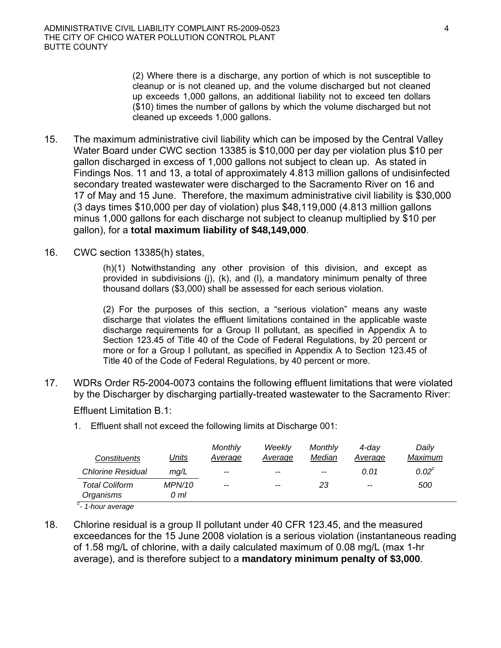(2) Where there is a discharge, any portion of which is not susceptible to cleanup or is not cleaned up, and the volume discharged but not cleaned up exceeds 1,000 gallons, an additional liability not to exceed ten dollars (\$10) times the number of gallons by which the volume discharged but not cleaned up exceeds 1,000 gallons.

- 15. The maximum administrative civil liability which can be imposed by the Central Valley Water Board under CWC section 13385 is \$10,000 per day per violation plus \$10 per gallon discharged in excess of 1,000 gallons not subject to clean up. As stated in Findings Nos. 11 and 13, a total of approximately 4.813 million gallons of undisinfected secondary treated wastewater were discharged to the Sacramento River on 16 and 17 of May and 15 June. Therefore, the maximum administrative civil liability is \$30,000 (3 days times \$10,000 per day of violation) plus \$48,119,000 (4.813 million gallons minus 1,000 gallons for each discharge not subject to cleanup multiplied by \$10 per gallon), for a **total maximum liability of \$48,149,000**.
- 16. CWC section 13385(h) states,

(h)(1) Notwithstanding any other provision of this division, and except as provided in subdivisions  $(i)$ ,  $(k)$ , and  $(l)$ , a mandatory minimum penalty of three thousand dollars (\$3,000) shall be assessed for each serious violation.

(2) For the purposes of this section, a "serious violation" means any waste discharge that violates the effluent limitations contained in the applicable waste discharge requirements for a Group II pollutant, as specified in Appendix A to Section 123.45 of Title 40 of the Code of Federal Regulations, by 20 percent or more or for a Group I pollutant, as specified in Appendix A to Section 123.45 of Title 40 of the Code of Federal Regulations, by 40 percent or more.

17. WDRs Order R5-2004-0073 contains the following effluent limitations that were violated by the Discharger by discharging partially-treated wastewater to the Sacramento River:

### Effluent Limitation B.1:

1. Effluent shall not exceed the following limits at Discharge 001:

| <b>Constituents</b>                                               | <u>Units</u>          | Monthly<br>Average | Weekly<br>Average | Monthly<br>Median | 4-dav<br>Average | Dailv<br>Maximum |
|-------------------------------------------------------------------|-----------------------|--------------------|-------------------|-------------------|------------------|------------------|
| <b>Chlorine Residual</b>                                          | mq/L                  | $- -$              | $- -$             | $- -$             | 0.01             | $0.02^c$         |
| <b>Total Coliform</b><br>Organisms<br>$\sim$ $\sim$ $\sim$ $\sim$ | <b>MPN/10</b><br>0 ml | $- -$              | $- -$             | 23                | $-$              | 500              |

*c - 1-hour average* 

18. Chlorine residual is a group II pollutant under 40 CFR 123.45, and the measured exceedances for the 15 June 2008 violation is a serious violation (instantaneous reading of 1.58 mg/L of chlorine, with a daily calculated maximum of 0.08 mg/L (max 1-hr average), and is therefore subject to a **mandatory minimum penalty of \$3,000**.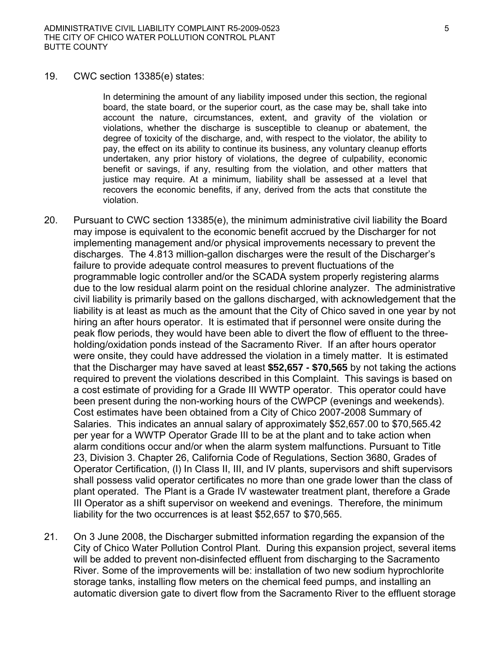19. CWC section 13385(e) states:

In determining the amount of any liability imposed under this section, the regional board, the state board, or the superior court, as the case may be, shall take into account the nature, circumstances, extent, and gravity of the violation or violations, whether the discharge is susceptible to cleanup or abatement, the degree of toxicity of the discharge, and, with respect to the violator, the ability to pay, the effect on its ability to continue its business, any voluntary cleanup efforts undertaken, any prior history of violations, the degree of culpability, economic benefit or savings, if any, resulting from the violation, and other matters that justice may require. At a minimum, liability shall be assessed at a level that recovers the economic benefits, if any, derived from the acts that constitute the violation.

- 20. Pursuant to CWC section 13385(e), the minimum administrative civil liability the Board may impose is equivalent to the economic benefit accrued by the Discharger for not implementing management and/or physical improvements necessary to prevent the discharges. The 4.813 million-gallon discharges were the result of the Discharger's failure to provide adequate control measures to prevent fluctuations of the programmable logic controller and/or the SCADA system properly registering alarms due to the low residual alarm point on the residual chlorine analyzer. The administrative civil liability is primarily based on the gallons discharged, with acknowledgement that the liability is at least as much as the amount that the City of Chico saved in one year by not hiring an after hours operator. It is estimated that if personnel were onsite during the peak flow periods, they would have been able to divert the flow of effluent to the threeholding/oxidation ponds instead of the Sacramento River. If an after hours operator were onsite, they could have addressed the violation in a timely matter. It is estimated that the Discharger may have saved at least **\$52,657 - \$70,565** by not taking the actions required to prevent the violations described in this Complaint. This savings is based on a cost estimate of providing for a Grade III WWTP operator. This operator could have been present during the non-working hours of the CWPCP (evenings and weekends). Cost estimates have been obtained from a City of Chico 2007-2008 Summary of Salaries. This indicates an annual salary of approximately \$52,657.00 to \$70,565.42 per year for a WWTP Operator Grade III to be at the plant and to take action when alarm conditions occur and/or when the alarm system malfunctions. Pursuant to Title 23, Division 3. Chapter 26, California Code of Regulations, Section 3680, Grades of Operator Certification, (l) In Class II, III, and IV plants, supervisors and shift supervisors shall possess valid operator certificates no more than one grade lower than the class of plant operated. The Plant is a Grade IV wastewater treatment plant, therefore a Grade III Operator as a shift supervisor on weekend and evenings. Therefore, the minimum liability for the two occurrences is at least \$52,657 to \$70,565.
- 21. On 3 June 2008, the Discharger submitted information regarding the expansion of the City of Chico Water Pollution Control Plant. During this expansion project, several items will be added to prevent non-disinfected effluent from discharging to the Sacramento River. Some of the improvements will be: installation of two new sodium hyprochlorite storage tanks, installing flow meters on the chemical feed pumps, and installing an automatic diversion gate to divert flow from the Sacramento River to the effluent storage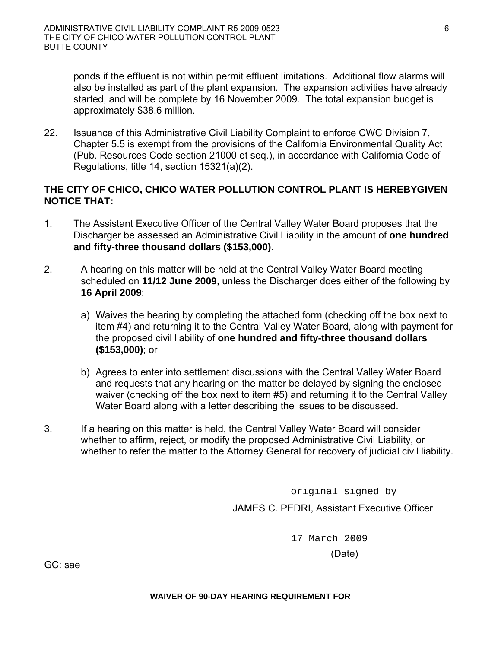ponds if the effluent is not within permit effluent limitations. Additional flow alarms will also be installed as part of the plant expansion. The expansion activities have already started, and will be complete by 16 November 2009. The total expansion budget is approximately \$38.6 million.

22. Issuance of this Administrative Civil Liability Complaint to enforce CWC Division 7, Chapter 5.5 is exempt from the provisions of the California Environmental Quality Act (Pub. Resources Code section 21000 et seq.), in accordance with California Code of Regulations, title 14, section 15321(a)(2).

### **THE CITY OF CHICO, CHICO WATER POLLUTION CONTROL PLANT IS HEREBYGIVEN NOTICE THAT:**

- 1. The Assistant Executive Officer of the Central Valley Water Board proposes that the Discharger be assessed an Administrative Civil Liability in the amount of **one hundred and fifty-three thousand dollars (\$153,000)**.
- 2. A hearing on this matter will be held at the Central Valley Water Board meeting scheduled on **11/12 June 2009**, unless the Discharger does either of the following by **16 April 2009**:
	- a) Waives the hearing by completing the attached form (checking off the box next to item #4) and returning it to the Central Valley Water Board, along with payment for the proposed civil liability of **one hundred and fifty-three thousand dollars (\$153,000)**; or
	- b) Agrees to enter into settlement discussions with the Central Valley Water Board and requests that any hearing on the matter be delayed by signing the enclosed waiver (checking off the box next to item #5) and returning it to the Central Valley Water Board along with a letter describing the issues to be discussed.
- 3. If a hearing on this matter is held, the Central Valley Water Board will consider whether to affirm, reject, or modify the proposed Administrative Civil Liability, or whether to refer the matter to the Attorney General for recovery of judicial civil liability.

original signed by

JAMES C. PEDRI, Assistant Executive Officer

17 March 2009

(Date)

GC: sae